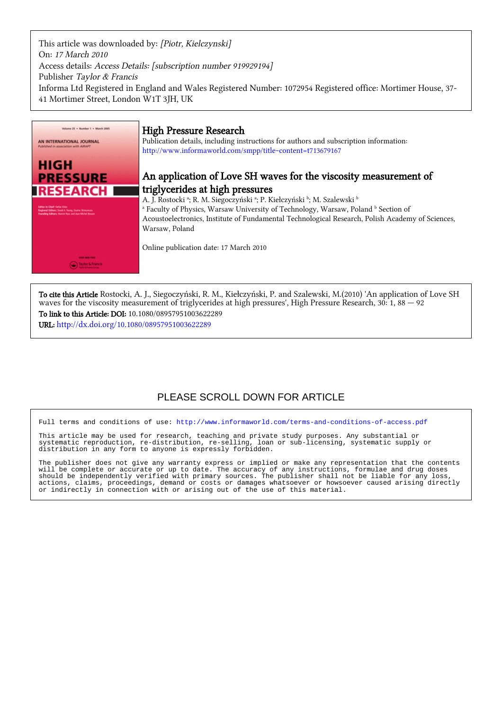This article was downloaded by: [Piotr, Kielczynski] On: 17 March 2010 Access details: Access Details: [subscription number 919929194] Publisher Taylor & Francis Informa Ltd Registered in England and Wales Registered Number: 1072954 Registered office: Mortimer House, 37- 41 Mortimer Street, London W1T 3JH, UK



# High Pressure Research

Publication details, including instructions for authors and subscription information: <http://www.informaworld.com/smpp/title~content=t713679167>

# An application of Love SH waves for the viscosity measurement of triglycerides at high pressures

A. J. Rostocki <sup>a</sup>; R. M. Siegoczyński <sup>a</sup>; P. Kiełczyński <sup>b</sup>; M. Szalewski <sup>b</sup> <sup>a</sup> Faculty of Physics, Warsaw University of Technology, Warsaw, Poland <sup>b</sup> Section of Acoustoelectronics, Institute of Fundamental Technological Research, Polish Academy of Sciences, Warsaw, Poland

Online publication date: 17 March 2010

To cite this Article Rostocki, A. J., Siegoczyński, R. M., Kiełczyński, P. and Szalewski, M.(2010) 'An application of Love SH waves for the viscosity measurement of triglycerides at high pressures', High Pressure Research,  $30:1$ ,  $88 - 92$ 

To link to this Article: DOI: 10.1080/08957951003622289 URL: <http://dx.doi.org/10.1080/08957951003622289>

# PLEASE SCROLL DOWN FOR ARTICLE

Full terms and conditions of use:<http://www.informaworld.com/terms-and-conditions-of-access.pdf>

This article may be used for research, teaching and private study purposes. Any substantial or systematic reproduction, re-distribution, re-selling, loan or sub-licensing, systematic supply or distribution in any form to anyone is expressly forbidden.

The publisher does not give any warranty express or implied or make any representation that the contents will be complete or accurate or up to date. The accuracy of any instructions, formulae and drug doses should be independently verified with primary sources. The publisher shall not be liable for any loss, actions, claims, proceedings, demand or costs or damages whatsoever or howsoever caused arising directly or indirectly in connection with or arising out of the use of this material.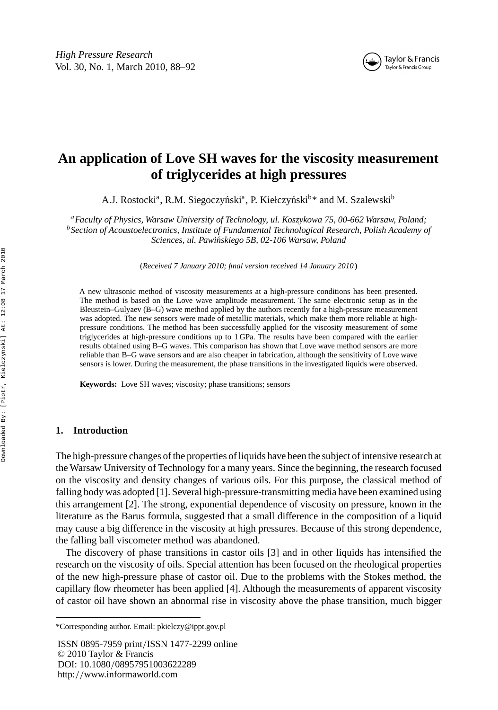

# **An application of Love SH waves for the viscosity measurement of triglycerides at high pressures**

A.J. Rostocki<sup>a</sup>, R.M. Siegoczyński<sup>a</sup>, P. Kiełczyński<sup>b\*</sup> and M. Szalewski<sup>b</sup>

*<sup>a</sup>Faculty of Physics, Warsaw University of Technology, ul. Koszykowa 75, 00-662 Warsaw, Poland; <sup>b</sup>Section of Acoustoelectronics, Institute of Fundamental Technological Research, Polish Academy of Sciences, ul. Pawi´nskiego 5B, 02-106 Warsaw, Poland*

(*Received 7 January 2010; final version received 14 January 2010* )

A new ultrasonic method of viscosity measurements at a high-pressure conditions has been presented. The method is based on the Love wave amplitude measurement. The same electronic setup as in the Bleustein–Gulyaev (B–G) wave method applied by the authors recently for a high-pressure measurement was adopted. The new sensors were made of metallic materials, which make them more reliable at highpressure conditions. The method has been successfully applied for the viscosity measurement of some triglycerides at high-pressure conditions up to 1 GPa. The results have been compared with the earlier results obtained using B–G waves. This comparison has shown that Love wave method sensors are more reliable than B–G wave sensors and are also cheaper in fabrication, although the sensitivity of Love wave sensors is lower. During the measurement, the phase transitions in the investigated liquids were observed.

**Keywords:** Love SH waves; viscosity; phase transitions; sensors

## **1. Introduction**

The high-pressure changes of the properties of liquids have been the subject of intensive research at the Warsaw University of Technology for a many years. Since the beginning, the research focused on the viscosity and density changes of various oils. For this purpose, the classical method of falling body was adopted [1]. Several high-pressure-transmitting media have been examined using this arrangement [2]. The strong, exponential dependence of viscosity on pressure, known in the literature as the Barus formula, suggested that a small difference in the composition of a liquid may cause a big difference in the viscosity at high pressures. Because of this strong dependence, the falling ball viscometer method was abandoned.

The discovery of phase transitions in castor oils [3] and in other liquids has intensified the research on the viscosity of oils. Special attention has been focused on the rheological properties of the new high-pressure phase of castor oil. Due to the problems with the Stokes method, the capillary flow rheometer has been applied [4]. Although the measurements of apparent viscosity of castor oil have shown an abnormal rise in viscosity above the phase transition, much bigger

ISSN 0895-7959 print*/*ISSN 1477-2299 online © 2010 Taylor & Francis DOI: 10.1080*/*08957951003622289 http:*//*www.informaworld.com

<sup>\*</sup>Corresponding author. Email: pkielczy@ippt.gov.pl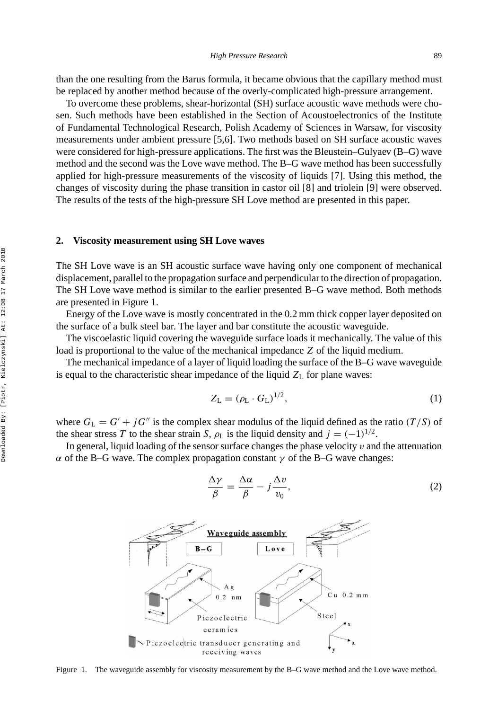than the one resulting from the Barus formula, it became obvious that the capillary method must be replaced by another method because of the overly-complicated high-pressure arrangement.

To overcome these problems, shear-horizontal (SH) surface acoustic wave methods were chosen. Such methods have been established in the Section of Acoustoelectronics of the Institute of Fundamental Technological Research, Polish Academy of Sciences in Warsaw, for viscosity measurements under ambient pressure [5,6]. Two methods based on SH surface acoustic waves were considered for high-pressure applications. The first was the Bleustein–Gulyaev (B–G) wave method and the second was the Love wave method. The B–G wave method has been successfully applied for high-pressure measurements of the viscosity of liquids [7]. Using this method, the changes of viscosity during the phase transition in castor oil [8] and triolein [9] were observed. The results of the tests of the high-pressure SH Love method are presented in this paper.

#### **2. Viscosity measurement using SH Love waves**

The SH Love wave is an SH acoustic surface wave having only one component of mechanical displacement, parallel to the propagation surface and perpendicular to the direction of propagation. The SH Love wave method is similar to the earlier presented B–G wave method. Both methods are presented in Figure 1.

Energy of the Love wave is mostly concentrated in the 0.2 mm thick copper layer deposited on the surface of a bulk steel bar. The layer and bar constitute the acoustic waveguide.

The viscoelastic liquid covering the waveguide surface loads it mechanically. The value of this load is proportional to the value of the mechanical impedance *Z* of the liquid medium.

The mechanical impedance of a layer of liquid loading the surface of the B–G wave waveguide is equal to the characteristic shear impedance of the liquid  $Z_L$  for plane waves:

$$
Z_{\mathcal{L}} = (\rho_{\mathcal{L}} \cdot G_{\mathcal{L}})^{1/2},\tag{1}
$$

where  $G_L = G' + jG''$  is the complex shear modulus of the liquid defined as the ratio  $(T/S)$  of the shear stress *T* to the shear strain *S*,  $\rho_L$  is the liquid density and  $j = (-1)^{1/2}$ .

In general, liquid loading of the sensor surface changes the phase velocity *v* and the attenuation *α* of the B–G wave. The complex propagation constant *γ* of the B–G wave changes:

$$
\frac{\Delta \gamma}{\beta} = \frac{\Delta \alpha}{\beta} - j \frac{\Delta v}{v_0},\tag{2}
$$



Figure 1. The waveguide assembly for viscosity measurement by the B–G wave method and the Love wave method.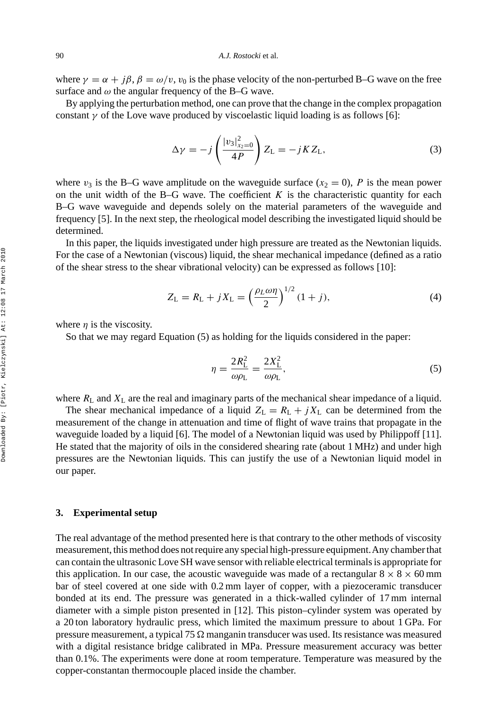where  $\gamma = \alpha + i\beta$ ,  $\beta = \omega/v$ ,  $v_0$  is the phase velocity of the non-perturbed B–G wave on the free surface and  $\omega$  the angular frequency of the B–G wave.

By applying the perturbation method, one can prove that the change in the complex propagation constant  $\gamma$  of the Love wave produced by viscoelastic liquid loading is as follows [6]:

$$
\Delta \gamma = -j \left( \frac{|v_3|_{x_2=0}^2}{4P} \right) Z_{\text{L}} = -j K Z_{\text{L}}, \tag{3}
$$

where  $v_3$  is the B–G wave amplitude on the waveguide surface ( $x_2 = 0$ ), *P* is the mean power on the unit width of the B–G wave. The coefficient  $K$  is the characteristic quantity for each B–G wave waveguide and depends solely on the material parameters of the waveguide and frequency [5]. In the next step, the rheological model describing the investigated liquid should be determined.

In this paper, the liquids investigated under high pressure are treated as the Newtonian liquids. For the case of a Newtonian (viscous) liquid, the shear mechanical impedance (defined as a ratio of the shear stress to the shear vibrational velocity) can be expressed as follows [10]:

$$
Z_{\rm L} = R_{\rm L} + jX_{\rm L} = \left(\frac{\rho_L \omega \eta}{2}\right)^{1/2} (1+j),\tag{4}
$$

where  $\eta$  is the viscosity.

So that we may regard Equation (5) as holding for the liquids considered in the paper:

$$
\eta = \frac{2R_{\rm L}^2}{\omega \rho_{\rm L}} = \frac{2X_{\rm L}^2}{\omega \rho_{\rm L}},\tag{5}
$$

where  $R_L$  and  $X_L$  are the real and imaginary parts of the mechanical shear impedance of a liquid.

The shear mechanical impedance of a liquid  $Z_L = R_L + jX_L$  can be determined from the measurement of the change in attenuation and time of flight of wave trains that propagate in the waveguide loaded by a liquid [6]. The model of a Newtonian liquid was used by Philippoff [11]. He stated that the majority of oils in the considered shearing rate (about 1 MHz) and under high pressures are the Newtonian liquids. This can justify the use of a Newtonian liquid model in our paper.

## **3. Experimental setup**

The real advantage of the method presented here is that contrary to the other methods of viscosity measurement, this method does not require any special high-pressure equipment.Any chamber that can contain the ultrasonic Love SH wave sensor with reliable electrical terminals is appropriate for this application. In our case, the acoustic waveguide was made of a rectangular  $8 \times 8 \times 60$  mm bar of steel covered at one side with 0.2 mm layer of copper, with a piezoceramic transducer bonded at its end. The pressure was generated in a thick-walled cylinder of 17 mm internal diameter with a simple piston presented in [12]. This piston–cylinder system was operated by a 20 ton laboratory hydraulic press, which limited the maximum pressure to about 1 GPa. For pressure measurement, a typical 75  $\Omega$  manganin transducer was used. Its resistance was measured with a digital resistance bridge calibrated in MPa. Pressure measurement accuracy was better than 0.1%. The experiments were done at room temperature. Temperature was measured by the copper-constantan thermocouple placed inside the chamber.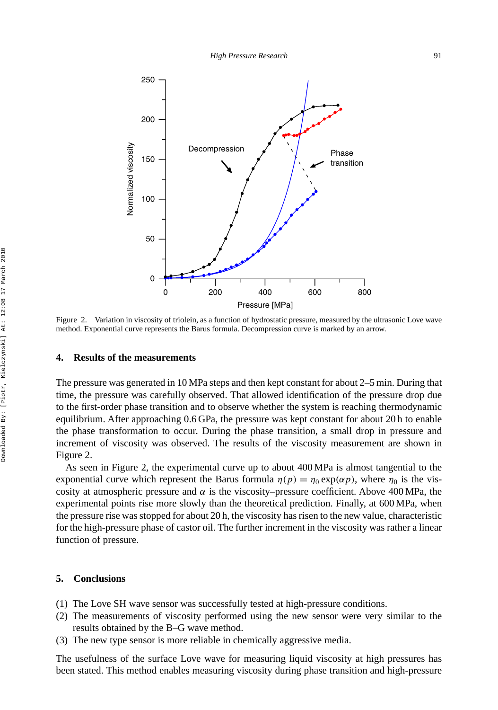

Figure 2. Variation in viscosity of triolein, as a function of hydrostatic pressure, measured by the ultrasonic Love wave method. Exponential curve represents the Barus formula. Decompression curve is marked by an arrow.

### **4. Results of the measurements**

The pressure was generated in 10 MPa steps and then kept constant for about 2–5 min. During that time, the pressure was carefully observed. That allowed identification of the pressure drop due to the first-order phase transition and to observe whether the system is reaching thermodynamic equilibrium. After approaching 0.6 GPa, the pressure was kept constant for about 20 h to enable the phase transformation to occur. During the phase transition, a small drop in pressure and increment of viscosity was observed. The results of the viscosity measurement are shown in Figure 2.

As seen in Figure 2, the experimental curve up to about 400 MPa is almost tangential to the exponential curve which represent the Barus formula  $\eta(p) = \eta_0 \exp(\alpha p)$ , where  $\eta_0$  is the viscosity at atmospheric pressure and  $\alpha$  is the viscosity–pressure coefficient. Above 400 MPa, the experimental points rise more slowly than the theoretical prediction. Finally, at 600 MPa, when the pressure rise was stopped for about 20 h, the viscosity has risen to the new value, characteristic for the high-pressure phase of castor oil. The further increment in the viscosity was rather a linear function of pressure.

## **5. Conclusions**

- (1) The Love SH wave sensor was successfully tested at high-pressure conditions.
- (2) The measurements of viscosity performed using the new sensor were very similar to the results obtained by the B–G wave method.
- (3) The new type sensor is more reliable in chemically aggressive media.

The usefulness of the surface Love wave for measuring liquid viscosity at high pressures has been stated. This method enables measuring viscosity during phase transition and high-pressure